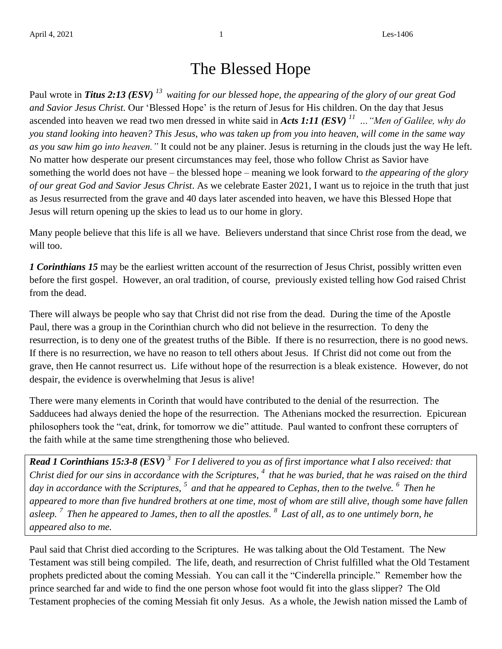## The Blessed Hope

Paul wrote in *Titus 2:13 (ESV) <sup>13</sup>waiting for our blessed hope, the appearing of the glory of our great God and Savior Jesus Christ.* Our 'Blessed Hope' is the return of Jesus for His children. On the day that Jesus ascended into heaven we read two men dressed in white said in *Acts 1:11 (ESV) <sup>11</sup>…"Men of Galilee, why do you stand looking into heaven? This Jesus, who was taken up from you into heaven, will come in the same way as you saw him go into heaven."* It could not be any plainer. Jesus is returning in the clouds just the way He left. No matter how desperate our present circumstances may feel, those who follow Christ as Savior have something the world does not have – the blessed hope – meaning we look forward to *the appearing of the glory of our great God and Savior Jesus Christ*. As we celebrate Easter 2021, I want us to rejoice in the truth that just as Jesus resurrected from the grave and 40 days later ascended into heaven, we have this Blessed Hope that Jesus will return opening up the skies to lead us to our home in glory.

Many people believe that this life is all we have. Believers understand that since Christ rose from the dead, we will too.

*1 Corinthians 15* may be the earliest written account of the resurrection of Jesus Christ, possibly written even before the first gospel. However, an oral tradition, of course, previously existed telling how God raised Christ from the dead.

There will always be people who say that Christ did not rise from the dead. During the time of the Apostle Paul, there was a group in the Corinthian church who did not believe in the resurrection. To deny the resurrection, is to deny one of the greatest truths of the Bible. If there is no resurrection, there is no good news. If there is no resurrection, we have no reason to tell others about Jesus. If Christ did not come out from the grave, then He cannot resurrect us. Life without hope of the resurrection is a bleak existence. However, do not despair, the evidence is overwhelming that Jesus is alive!

There were many elements in Corinth that would have contributed to the denial of the resurrection. The Sadducees had always denied the hope of the resurrection. The Athenians mocked the resurrection. Epicurean philosophers took the "eat, drink, for tomorrow we die" attitude. Paul wanted to confront these corrupters of the faith while at the same time strengthening those who believed.

*Read 1 Corinthians 15:3-8 (ESV) <sup>3</sup>For I delivered to you as of first importance what I also received: that Christ died for our sins in accordance with the Scriptures, <sup>4</sup>that he was buried, that he was raised on the third day in accordance with the Scriptures, <sup>5</sup>and that he appeared to Cephas, then to the twelve. <sup>6</sup>Then he appeared to more than five hundred brothers at one time, most of whom are still alive, though some have fallen asleep. <sup>7</sup>Then he appeared to James, then to all the apostles. <sup>8</sup>Last of all, as to one untimely born, he appeared also to me.*

Paul said that Christ died according to the Scriptures. He was talking about the Old Testament. The New Testament was still being compiled. The life, death, and resurrection of Christ fulfilled what the Old Testament prophets predicted about the coming Messiah. You can call it the "Cinderella principle." Remember how the prince searched far and wide to find the one person whose foot would fit into the glass slipper? The Old Testament prophecies of the coming Messiah fit only Jesus. As a whole, the Jewish nation missed the Lamb of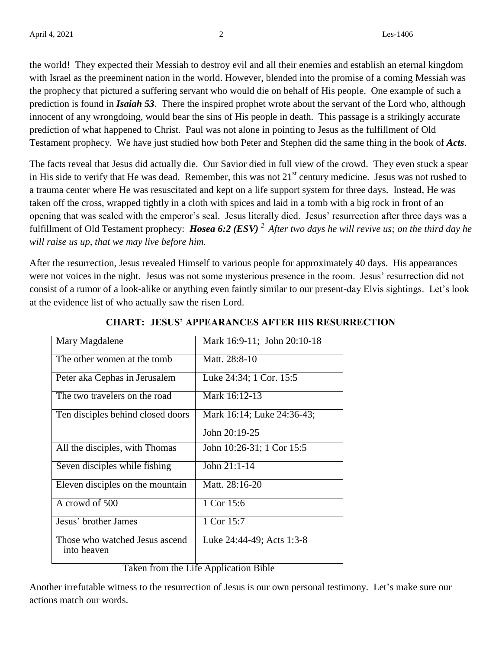the world! They expected their Messiah to destroy evil and all their enemies and establish an eternal kingdom with Israel as the preeminent nation in the world. However, blended into the promise of a coming Messiah was the prophecy that pictured a suffering servant who would die on behalf of His people. One example of such a prediction is found in *Isaiah 53*. There the inspired prophet wrote about the servant of the Lord who, although innocent of any wrongdoing, would bear the sins of His people in death. This passage is a strikingly accurate prediction of what happened to Christ. Paul was not alone in pointing to Jesus as the fulfillment of Old Testament prophecy. We have just studied how both Peter and Stephen did the same thing in the book of *Acts*.

The facts reveal that Jesus did actually die. Our Savior died in full view of the crowd. They even stuck a spear in His side to verify that He was dead. Remember, this was not  $21<sup>st</sup>$  century medicine. Jesus was not rushed to a trauma center where He was resuscitated and kept on a life support system for three days. Instead, He was taken off the cross, wrapped tightly in a cloth with spices and laid in a tomb with a big rock in front of an opening that was sealed with the emperor's seal. Jesus literally died. Jesus' resurrection after three days was a fulfillment of Old Testament prophecy: *Hosea 6:2 (ESV) <sup>2</sup>After two days he will revive us; on the third day he will raise us up, that we may live before him.*

After the resurrection, Jesus revealed Himself to various people for approximately 40 days. His appearances were not voices in the night. Jesus was not some mysterious presence in the room. Jesus' resurrection did not consist of a rumor of a look-alike or anything even faintly similar to our present-day Elvis sightings. Let's look at the evidence list of who actually saw the risen Lord.

| Mary Magdalene                                                                           | Mark 16:9-11; John 20:10-18 |
|------------------------------------------------------------------------------------------|-----------------------------|
| The other women at the tomb                                                              | Matt. 28:8-10               |
| Peter aka Cephas in Jerusalem                                                            | Luke 24:34; 1 Cor. 15:5     |
| The two travelers on the road                                                            | Mark 16:12-13               |
| Ten disciples behind closed doors                                                        | Mark 16:14; Luke 24:36-43;  |
|                                                                                          | John 20:19-25               |
| All the disciples, with Thomas                                                           | John 10:26-31; 1 Cor 15:5   |
| Seven disciples while fishing                                                            | John $21:1-14$              |
| Eleven disciples on the mountain                                                         | Matt. 28:16-20              |
| A crowd of 500                                                                           | 1 Cor 15:6                  |
| Jesus' brother James                                                                     | 1 Cor 15:7                  |
| Those who watched Jesus ascend<br>into heaven                                            | Luke 24:44-49; Acts 1:3-8   |
| $A = -11 - 11$<br>$\mathcal{L}$<br>$T = 1 - 1$<br>$41 -$<br>$T: \mathcal{L}$ .<br>D:1.1. |                             |

**CHART: JESUS' APPEARANCES AFTER HIS RESURRECTION**

Taken from the Life Application Bible

Another irrefutable witness to the resurrection of Jesus is our own personal testimony. Let's make sure our actions match our words.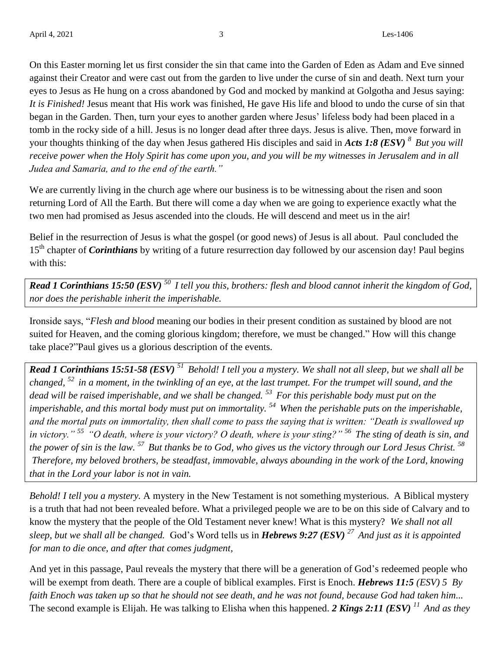On this Easter morning let us first consider the sin that came into the Garden of Eden as Adam and Eve sinned against their Creator and were cast out from the garden to live under the curse of sin and death. Next turn your eyes to Jesus as He hung on a cross abandoned by God and mocked by mankind at Golgotha and Jesus saying: *It is Finished!* Jesus meant that His work was finished, He gave His life and blood to undo the curse of sin that began in the Garden. Then, turn your eyes to another garden where Jesus' lifeless body had been placed in a tomb in the rocky side of a hill. Jesus is no longer dead after three days. Jesus is alive. Then, move forward in your thoughts thinking of the day when Jesus gathered His disciples and said in *Acts 1:8 (ESV)* <sup>8</sup> *But you will receive power when the Holy Spirit has come upon you, and you will be my witnesses in Jerusalem and in all Judea and Samaria, and to the end of the earth."*

We are currently living in the church age where our business is to be witnessing about the risen and soon returning Lord of All the Earth. But there will come a day when we are going to experience exactly what the two men had promised as Jesus ascended into the clouds. He will descend and meet us in the air!

Belief in the resurrection of Jesus is what the gospel (or good news) of Jesus is all about. Paul concluded the 15<sup>th</sup> chapter of *Corinthians* by writing of a future resurrection day followed by our ascension day! Paul begins with this:

*Read 1 Corinthians 15:50 (ESV) <sup>50</sup>I tell you this, brothers: flesh and blood cannot inherit the kingdom of God, nor does the perishable inherit the imperishable.* 

Ironside says, "*Flesh and blood* meaning our bodies in their present condition as sustained by blood are not suited for Heaven, and the coming glorious kingdom; therefore, we must be changed." How will this change take place?"Paul gives us a glorious description of the events.

*Read 1 Corinthians 15:51-58 (ESV) <sup>51</sup>Behold! I tell you a mystery. We shall not all sleep, but we shall all be changed, <sup>52</sup>in a moment, in the twinkling of an eye, at the last trumpet. For the trumpet will sound, and the dead will be raised imperishable, and we shall be changed. <sup>53</sup>For this perishable body must put on the imperishable, and this mortal body must put on immortality. <sup>54</sup>When the perishable puts on the imperishable, and the mortal puts on immortality, then shall come to pass the saying that is written: "Death is swallowed up in victory." <sup>55</sup>"O death, where is your victory? O death, where is your sting?" <sup>56</sup>The sting of death is sin, and the power of sin is the law. <sup>57</sup>But thanks be to God, who gives us the victory through our Lord Jesus Christ. <sup>58</sup> Therefore, my beloved brothers, be steadfast, immovable, always abounding in the work of the Lord, knowing that in the Lord your labor is not in vain.* 

*Behold! I tell you a mystery.* A mystery in the New Testament is not something mysterious. A Biblical mystery is a truth that had not been revealed before. What a privileged people we are to be on this side of Calvary and to know the mystery that the people of the Old Testament never knew! What is this mystery? *We shall not all sleep, but we shall all be changed.* God's Word tells us in *Hebrews 9:27 (ESV) <sup>27</sup>And just as it is appointed for man to die once, and after that comes judgment,*

And yet in this passage, Paul reveals the mystery that there will be a generation of God's redeemed people who will be exempt from death. There are a couple of biblical examples. First is Enoch. *Hebrews 11:5 (ESV) 5 By faith Enoch was taken up so that he should not see death, and he was not found, because God had taken him...* The second example is Elijah. He was talking to Elisha when this happened. *2 Kings 2:11 (ESV) <sup>11</sup>And as they*